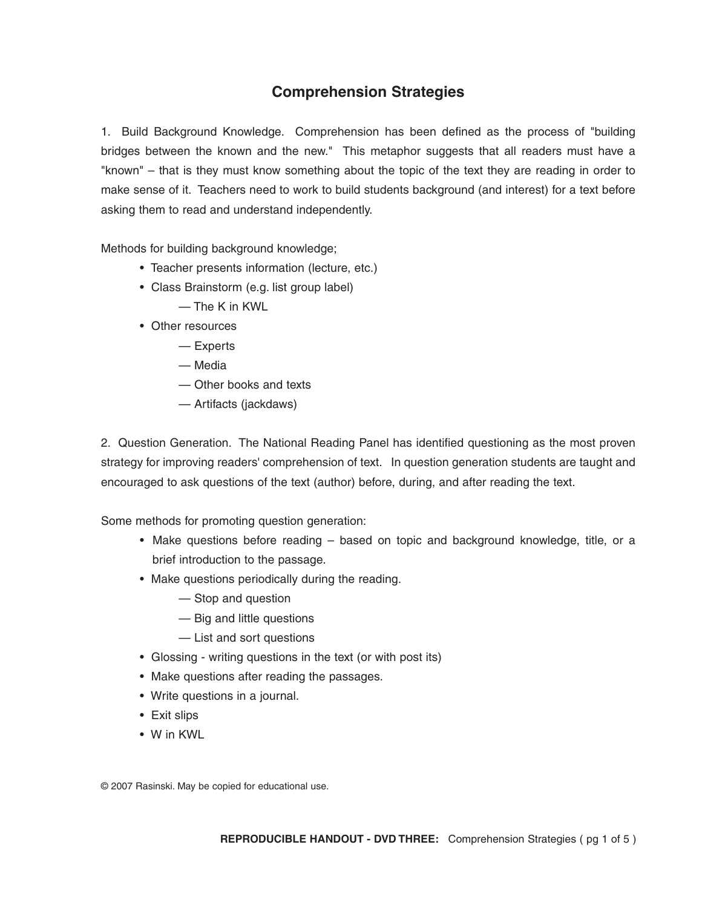## **Comprehension Strategies**

1. Build Background Knowledge. Comprehension has been defined as the process of "building bridges between the known and the new." This metaphor suggests that all readers must have a "known" – that is they must know something about the topic of the text they are reading in order to make sense of it. Teachers need to work to build students background (and interest) for a text before asking them to read and understand independently.

Methods for building background knowledge;

- Teacher presents information (lecture, etc.)
- Class Brainstorm (e.g. list group label)
	- The K in KWL
- Other resources
	- Experts
	- Media
	- Other books and texts
	- Artifacts (jackdaws)

2. Question Generation. The National Reading Panel has identified questioning as the most proven strategy for improving readers' comprehension of text. In question generation students are taught and encouraged to ask questions of the text (author) before, during, and after reading the text.

Some methods for promoting question generation:

- Make questions before reading based on topic and background knowledge, title, or a brief introduction to the passage.
- Make questions periodically during the reading.
	- Stop and question
	- Big and little questions
	- List and sort questions
- Glossing writing questions in the text (or with post its)
- Make questions after reading the passages.
- Write questions in a journal.
- Exit slips
- W in KWL

© 2007 Rasinski. May be copied for educational use.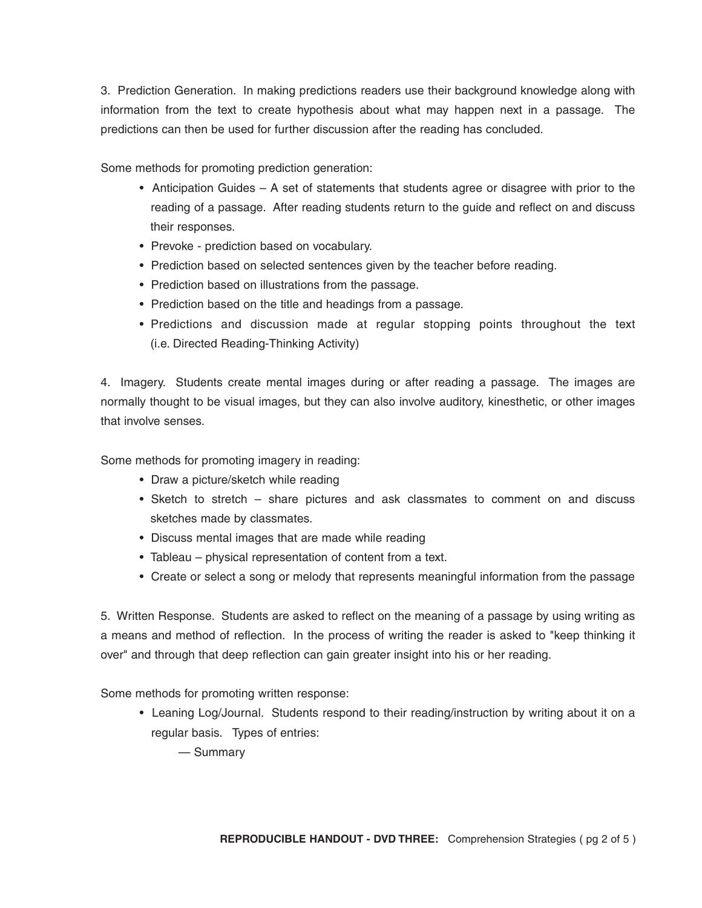3. Prediction Generation. In making predictions readers use their background knowledge along with information from the text to create hypothesis about what may happen next in a passage. The predictions can then be used for further discussion after the reading has concluded.

Some methods for promoting prediction generation:

- Anticipation Guides A set of statements that students agree or disagree with prior to the reading of a passage. After reading students return to the guide and reflect on and discuss their responses.
- Prevoke prediction based on vocabulary.
- Prediction based on selected sentences given by the teacher before reading.
- Prediction based on illustrations from the passage.
- Prediction based on the title and headings from a passage.
- Predictions and discussion made at regular stopping points throughout the text (i.e. Directed Reading-Thinking Activity)

4. Imagery. Students create mental images during or after reading a passage. The images are normally thought to be visual images, but they can also involve auditory, kinesthetic, or other images that involve senses.

Some methods for promoting imagery in reading:

- Draw a picture/sketch while reading
- Sketch to stretch share pictures and ask classmates to comment on and discuss sketches made by classmates.
- Discuss mental images that are made while reading
- Tableau physical representation of content from a text.
- Create or select a song or melody that represents meaningful information from the passage

5. Written Response. Students are asked to reflect on the meaning of a passage by using writing as a means and method of reflection. In the process of writing the reader is asked to "keep thinking it over" and through that deep reflection can gain greater insight into his or her reading.

Some methods for promoting written response:

• Leaning Log/Journal. Students respond to their reading/instruction by writing about it on a regular basis. Types of entries:

— Summary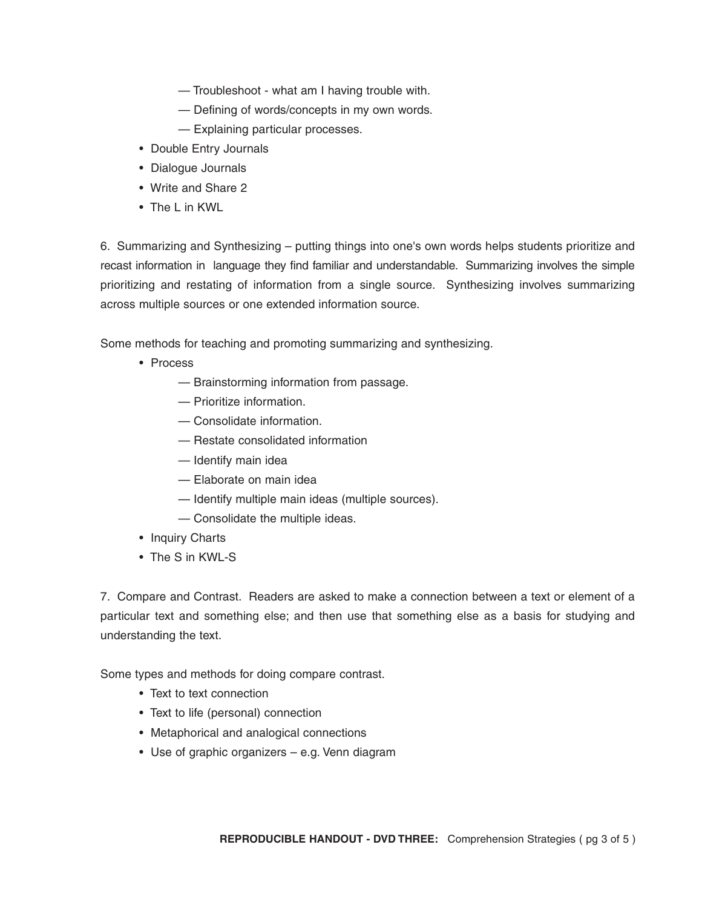- Troubleshoot what am I having trouble with.
- Defining of words/concepts in my own words.
- Explaining particular processes.
- Double Entry Journals
- Dialogue Journals
- Write and Share 2
- The L in KWL

6. Summarizing and Synthesizing – putting things into one's own words helps students prioritize and recast information in language they find familiar and understandable. Summarizing involves the simple prioritizing and restating of information from a single source. Synthesizing involves summarizing across multiple sources or one extended information source.

Some methods for teaching and promoting summarizing and synthesizing.

- Process
	- Brainstorming information from passage.
	- Prioritize information.
	- Consolidate information.
	- Restate consolidated information
	- Identify main idea
	- Elaborate on main idea
	- Identify multiple main ideas (multiple sources).
	- Consolidate the multiple ideas.
- Inquiry Charts
- The S in KWL-S

7. Compare and Contrast. Readers are asked to make a connection between a text or element of a particular text and something else; and then use that something else as a basis for studying and understanding the text.

Some types and methods for doing compare contrast.

- Text to text connection
- Text to life (personal) connection
- Metaphorical and analogical connections
- Use of graphic organizers e.g. Venn diagram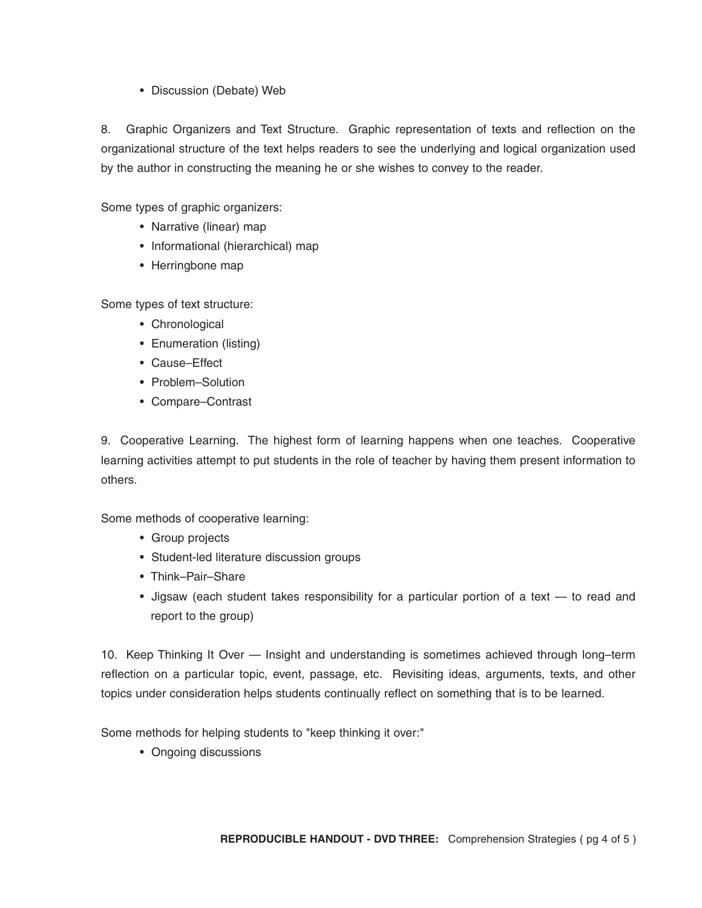• Discussion (Debate) Web

8. Graphic Organizers and Text Structure. Graphic representation of texts and reflection on the organizational structure of the text helps readers to see the underlying and logical organization used by the author in constructing the meaning he or she wishes to convey to the reader.

Some types of graphic organizers:

- Narrative (linear) map
- Informational (hierarchical) map
- Herringbone map

Some types of text structure:

- Chronological
- Enumeration (listing)
- Cause–Effect
- Problem–Solution
- Compare–Contrast

9. Cooperative Learning. The highest form of learning happens when one teaches. Cooperative learning activities attempt to put students in the role of teacher by having them present information to others.

Some methods of cooperative learning:

- Group projects
- Student-led literature discussion groups
- Think–Pair–Share
- Jigsaw (each student takes responsibility for a particular portion of a text to read and report to the group)

10. Keep Thinking It Over — Insight and understanding is sometimes achieved through long–term reflection on a particular topic, event, passage, etc. Revisiting ideas, arguments, texts, and other topics under consideration helps students continually reflect on something that is to be learned.

Some methods for helping students to "keep thinking it over:"

• Ongoing discussions